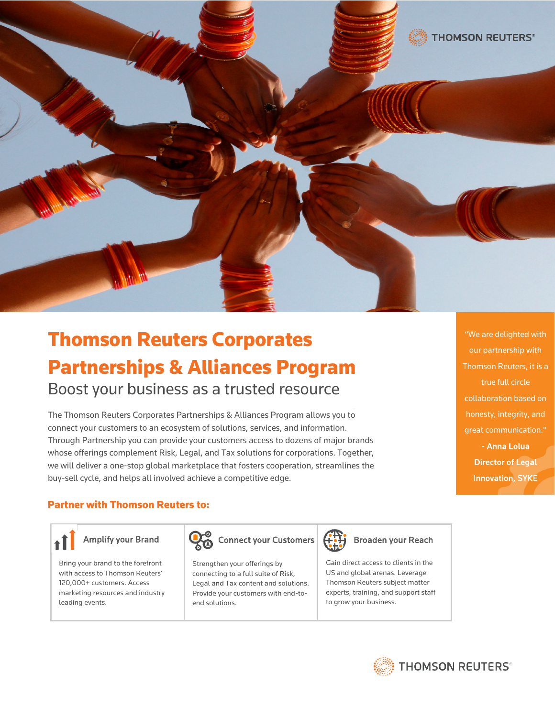

# Thomson Reuters Corporates Partnerships & Alliances Program Boost your business as a trusted resource

The Thomson Reuters Corporates Partnerships & Alliances Program allows you to connect your customers to an ecosystem of solutions, services, and information. Through Partnership you can provide your customers access to dozens of major brands whose offerings complement Risk, Legal, and Tax solutions for corporations. Together, we will deliver a one-stop global marketplace that fosters cooperation, streamlines the buy-sell cycle, and helps all involved achieve a competitive edge.

"We are delighted with our partnership with Thomson Reuters, it is a true full circle collaboration based on honesty, integrity, and great communication." - Anna Lolua Director of Legal

Innovation, SYKE

# Partner with Thomson Reuters to:

Bring your brand to the forefront with access to Thomson Reuters' 120,000+ customers. Access marketing resources and industry leading events.



Strengthen your offerings by connecting to a full suite of Risk, Legal and Tax content and solutions. Provide your customers with end-toend solutions.



Gain direct access to clients in the US and global arenas. Leverage Thomson Reuters subject matter experts, training, and support staff to grow your business.